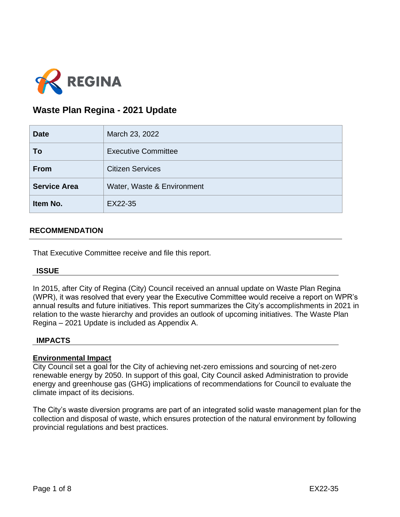

# **Waste Plan Regina - 2021 Update**

| <b>Date</b>         | March 23, 2022             |
|---------------------|----------------------------|
| To                  | <b>Executive Committee</b> |
| <b>From</b>         | <b>Citizen Services</b>    |
| <b>Service Area</b> | Water, Waste & Environment |
| Item No.            | EX22-35                    |

# **RECOMMENDATION**

That Executive Committee receive and file this report.

# **ISSUE**

In 2015, after City of Regina (City) Council received an annual update on Waste Plan Regina (WPR), it was resolved that every year the Executive Committee would receive a report on WPR's annual results and future initiatives. This report summarizes the City's accomplishments in 2021 in relation to the waste hierarchy and provides an outlook of upcoming initiatives. The Waste Plan Regina – 2021 Update is included as Appendix A.

# **IMPACTS**

# **Environmental Impact**

City Council set a goal for the City of achieving net-zero emissions and sourcing of net-zero renewable energy by 2050. In support of this goal, City Council asked Administration to provide energy and greenhouse gas (GHG) implications of recommendations for Council to evaluate the climate impact of its decisions.

The City's waste diversion programs are part of an integrated solid waste management plan for the collection and disposal of waste, which ensures protection of the natural environment by following provincial regulations and best practices.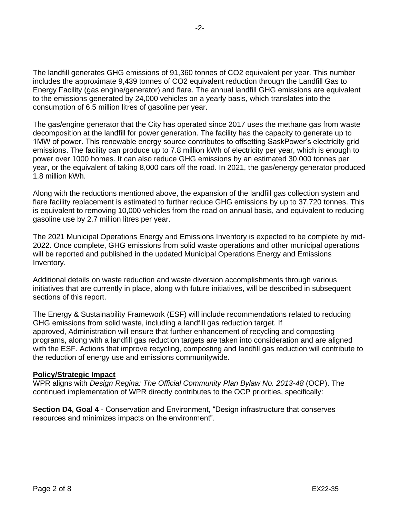The landfill generates GHG emissions of 91,360 tonnes of CO2 equivalent per year. This number includes the approximate 9,439 tonnes of CO2 equivalent reduction through the Landfill Gas to Energy Facility (gas engine/generator) and flare. The annual landfill GHG emissions are equivalent to the emissions generated by 24,000 vehicles on a yearly basis, which translates into the consumption of 6.5 million litres of gasoline per year.

The gas/engine generator that the City has operated since 2017 uses the methane gas from waste decomposition at the landfill for power generation. The facility has the capacity to generate up to 1MW of power. This renewable energy source contributes to offsetting SaskPower's electricity grid emissions. The facility can produce up to 7.8 million kWh of electricity per year, which is enough to power over 1000 homes. It can also reduce GHG emissions by an estimated 30,000 tonnes per year, or the equivalent of taking 8,000 cars off the road. In 2021, the gas/energy generator produced 1.8 million kWh.

Along with the reductions mentioned above, the expansion of the landfill gas collection system and flare facility replacement is estimated to further reduce GHG emissions by up to 37,720 tonnes. This is equivalent to removing 10,000 vehicles from the road on annual basis, and equivalent to reducing gasoline use by 2.7 million litres per year.

The 2021 Municipal Operations Energy and Emissions Inventory is expected to be complete by mid-2022. Once complete, GHG emissions from solid waste operations and other municipal operations will be reported and published in the updated Municipal Operations Energy and Emissions Inventory.

Additional details on waste reduction and waste diversion accomplishments through various initiatives that are currently in place, along with future initiatives, will be described in subsequent sections of this report.

The Energy & Sustainability Framework (ESF) will include recommendations related to reducing GHG emissions from solid waste, including a landfill gas reduction target. If approved, Administration will ensure that further enhancement of recycling and composting programs, along with a landfill gas reduction targets are taken into consideration and are aligned with the ESF. Actions that improve recycling, composting and landfill gas reduction will contribute to the reduction of energy use and emissions communitywide.

# **Policy/Strategic Impact**

WPR aligns with *Design Regina: The Official Community Plan Bylaw No. 2013-48* (OCP). The continued implementation of WPR directly contributes to the OCP priorities, specifically:

**Section D4, Goal 4** - Conservation and Environment, "Design infrastructure that conserves resources and minimizes impacts on the environment".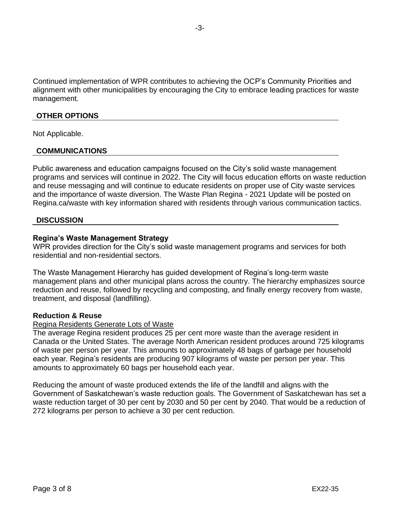Continued implementation of WPR contributes to achieving the OCP's Community Priorities and alignment with other municipalities by encouraging the City to embrace leading practices for waste management.

### **OTHER OPTIONS**

Not Applicable.

### **COMMUNICATIONS**

Public awareness and education campaigns focused on the City's solid waste management programs and services will continue in 2022. The City will focus education efforts on waste reduction and reuse messaging and will continue to educate residents on proper use of City waste services and the importance of waste diversion. The Waste Plan Regina - 2021 Update will be posted on Regina.ca/waste with key information shared with residents through various communication tactics.

### **DISCUSSION**

#### **Regina's Waste Management Strategy**

WPR provides direction for the City's solid waste management programs and services for both residential and non-residential sectors.

The Waste Management Hierarchy has guided development of Regina's long-term waste management plans and other municipal plans across the country. The hierarchy emphasizes source reduction and reuse, followed by recycling and composting, and finally energy recovery from waste, treatment, and disposal (landfilling).

#### **Reduction & Reuse**

# Regina Residents Generate Lots of Waste

The average Regina resident produces 25 per cent more waste than the average resident in Canada or the United States. The average North American resident produces around 725 kilograms of waste per person per year. This amounts to approximately 48 bags of garbage per household each year. Regina's residents are producing 907 kilograms of waste per person per year. This amounts to approximately 60 bags per household each year.

Reducing the amount of waste produced extends the life of the landfill and aligns with the Government of Saskatchewan's waste reduction goals. The Government of Saskatchewan has set a waste reduction target of 30 per cent by 2030 and 50 per cent by 2040. That would be a reduction of 272 kilograms per person to achieve a 30 per cent reduction.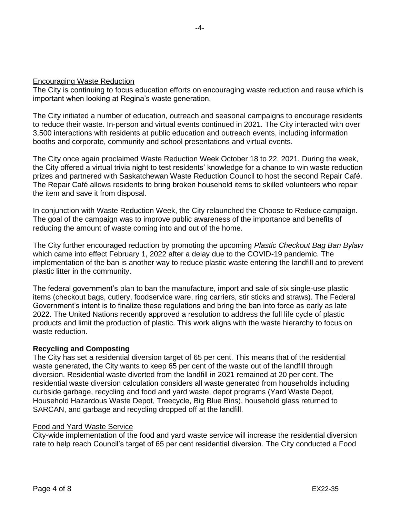### Encouraging Waste Reduction

The City is continuing to focus education efforts on encouraging waste reduction and reuse which is important when looking at Regina's waste generation.

The City initiated a number of education, outreach and seasonal campaigns to encourage residents to reduce their waste. In-person and virtual events continued in 2021. The City interacted with over 3,500 interactions with residents at public education and outreach events, including information booths and corporate, community and school presentations and virtual events.

The City once again proclaimed Waste Reduction Week October 18 to 22, 2021. During the week, the City offered a virtual trivia night to test residents' knowledge for a chance to win waste reduction prizes and partnered with Saskatchewan Waste Reduction Council to host the second Repair Café. The Repair Café allows residents to bring broken household items to skilled volunteers who repair the item and save it from disposal.

In conjunction with Waste Reduction Week, the City relaunched the Choose to Reduce campaign. The goal of the campaign was to improve public awareness of the importance and benefits of reducing the amount of waste coming into and out of the home.

The City further encouraged reduction by promoting the upcoming *Plastic Checkout Bag Ban Bylaw*  which came into effect February 1, 2022 after a delay due to the COVID-19 pandemic. The implementation of the ban is another way to reduce plastic waste entering the landfill and to prevent plastic litter in the community.

The federal government's plan to ban the manufacture, import and sale of six single-use plastic items (checkout bags, cutlery, foodservice ware, ring carriers, stir sticks and straws). The Federal Government's intent is to finalize these regulations and bring the ban into force as early as late 2022. The United Nations recently approved a resolution to address the full life cycle of plastic products and limit the production of plastic. This work aligns with the waste hierarchy to focus on waste reduction.

# **Recycling and Composting**

The City has set a residential diversion target of 65 per cent. This means that of the residential waste generated, the City wants to keep 65 per cent of the waste out of the landfill through diversion. Residential waste diverted from the landfill in 2021 remained at 20 per cent. The residential waste diversion calculation considers all waste generated from households including curbside garbage, recycling and food and yard waste, depot programs (Yard Waste Depot, Household Hazardous Waste Depot, Treecycle, Big Blue Bins), household glass returned to SARCAN, and garbage and recycling dropped off at the landfill.

#### Food and Yard Waste Service

City-wide implementation of the food and yard waste service will increase the residential diversion rate to help reach Council's target of 65 per cent residential diversion. The City conducted a Food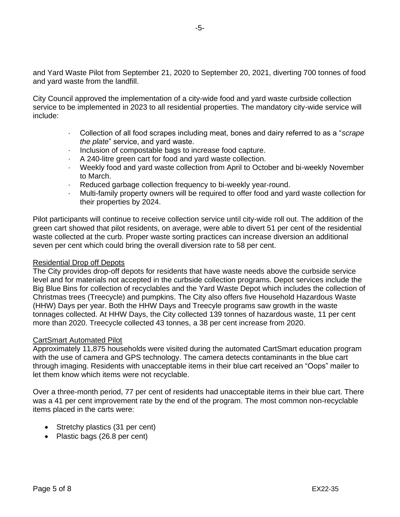and Yard Waste Pilot from September 21, 2020 to September 20, 2021, diverting 700 tonnes of food and yard waste from the landfill.

City Council approved the implementation of a city-wide food and yard waste curbside collection service to be implemented in 2023 to all residential properties. The mandatory city-wide service will include:

- · Collection of all food scrapes including meat, bones and dairy referred to as a "*scrape the plate*" service, and yard waste.
- · Inclusion of compostable bags to increase food capture.
- A 240-litre green cart for food and yard waste collection.
- · Weekly food and yard waste collection from April to October and bi-weekly November to March.
- Reduced garbage collection frequency to bi-weekly year-round.
- · Multi-family property owners will be required to offer food and yard waste collection for their properties by 2024.

Pilot participants will continue to receive collection service until city-wide roll out. The addition of the green cart showed that pilot residents, on average, were able to divert 51 per cent of the residential waste collected at the curb. Proper waste sorting practices can increase diversion an additional seven per cent which could bring the overall diversion rate to 58 per cent.

#### Residential Drop off Depots

The City provides drop-off depots for residents that have waste needs above the curbside service level and for materials not accepted in the curbside collection programs. Depot services include the Big Blue Bins for collection of recyclables and the Yard Waste Depot which includes the collection of Christmas trees (Treecycle) and pumpkins. The City also offers five Household Hazardous Waste (HHW) Days per year. Both the HHW Days and Treecyle programs saw growth in the waste tonnages collected. At HHW Days, the City collected 139 tonnes of hazardous waste, 11 per cent more than 2020. Treecycle collected 43 tonnes, a 38 per cent increase from 2020.

#### CartSmart Automated Pilot

Approximately 11,875 households were visited during the automated CartSmart education program with the use of camera and GPS technology. The camera detects contaminants in the blue cart through imaging. Residents with unacceptable items in their blue cart received an "Oops" mailer to let them know which items were not recyclable.

Over a three-month period, 77 per cent of residents had unacceptable items in their blue cart. There was a 41 per cent improvement rate by the end of the program. The most common non-recyclable items placed in the carts were:

- Stretchy plastics (31 per cent)
- Plastic bags (26.8 per cent)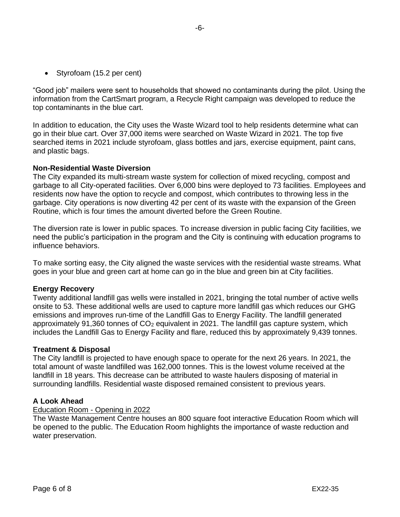• Styrofoam (15.2 per cent)

"Good job" mailers were sent to households that showed no contaminants during the pilot. Using the information from the CartSmart program, a Recycle Right campaign was developed to reduce the top contaminants in the blue cart.

In addition to education, the City uses the Waste Wizard tool to help residents determine what can go in their blue cart. Over 37,000 items were searched on Waste Wizard in 2021. The top five searched items in 2021 include styrofoam, glass bottles and jars, exercise equipment, paint cans, and plastic bags.

# **Non-Residential Waste Diversion**

The City expanded its multi-stream waste system for collection of mixed recycling, compost and garbage to all City-operated facilities. Over 6,000 bins were deployed to 73 facilities. Employees and residents now have the option to recycle and compost, which contributes to throwing less in the garbage. City operations is now diverting 42 per cent of its waste with the expansion of the Green Routine, which is four times the amount diverted before the Green Routine.

The diversion rate is lower in public spaces. To increase diversion in public facing City facilities, we need the public's participation in the program and the City is continuing with education programs to influence behaviors.

To make sorting easy, the City aligned the waste services with the residential waste streams. What goes in your blue and green cart at home can go in the blue and green bin at City facilities.

#### **Energy Recovery**

Twenty additional landfill gas wells were installed in 2021, bringing the total number of active wells onsite to 53. These additional wells are used to capture more landfill gas which reduces our GHG emissions and improves run-time of the Landfill Gas to Energy Facility. The landfill generated approximately 91,360 tonnes of  $CO<sub>2</sub>$  equivalent in 2021. The landfill gas capture system, which includes the Landfill Gas to Energy Facility and flare, reduced this by approximately 9,439 tonnes.

#### **Treatment & Disposal**

The City landfill is projected to have enough space to operate for the next 26 years. In 2021, the total amount of waste landfilled was 162,000 tonnes. This is the lowest volume received at the landfill in 18 years. This decrease can be attributed to waste haulers disposing of material in surrounding landfills. Residential waste disposed remained consistent to previous years.

#### **A Look Ahead**

#### Education Room - Opening in 2022

The Waste Management Centre houses an 800 square foot interactive Education Room which will be opened to the public. The Education Room highlights the importance of waste reduction and water preservation.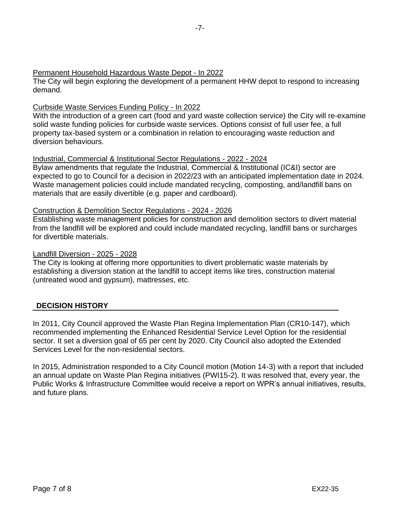# Permanent Household Hazardous Waste Depot - In 2022

The City will begin exploring the development of a permanent HHW depot to respond to increasing demand.

# Curbside Waste Services Funding Policy - In 2022

With the introduction of a green cart (food and yard waste collection service) the City will re-examine solid waste funding policies for curbside waste services. Options consist of full user fee, a full property tax-based system or a combination in relation to encouraging waste reduction and diversion behaviours.

# Industrial, Commercial & Institutional Sector Regulations - 2022 - 2024

Bylaw amendments that regulate the Industrial, Commercial & Institutional (IC&I) sector are expected to go to Council for a decision in 2022/23 with an anticipated implementation date in 2024. Waste management policies could include mandated recycling, composting, and/landfill bans on materials that are easily divertible (e.g. paper and cardboard).

# Construction & Demolition Sector Regulations - 2024 - 2026

Establishing waste management policies for construction and demolition sectors to divert material from the landfill will be explored and could include mandated recycling, landfill bans or surcharges for divertible materials.

# Landfill Diversion - 2025 - 2028

The City is looking at offering more opportunities to divert problematic waste materials by establishing a diversion station at the landfill to accept items like tires, construction material (untreated wood and gypsum), mattresses, etc.

# **DECISION HISTORY**

In 2011, City Council approved the Waste Plan Regina Implementation Plan (CR10-147), which recommended implementing the Enhanced Residential Service Level Option for the residential sector. It set a diversion goal of 65 per cent by 2020. City Council also adopted the Extended Services Level for the non-residential sectors.

In 2015, Administration responded to a City Council motion (Motion 14-3) with a report that included an annual update on Waste Plan Regina initiatives (PWI15-2). It was resolved that, every year, the Public Works & Infrastructure Committee would receive a report on WPR's annual initiatives, results, and future plans.